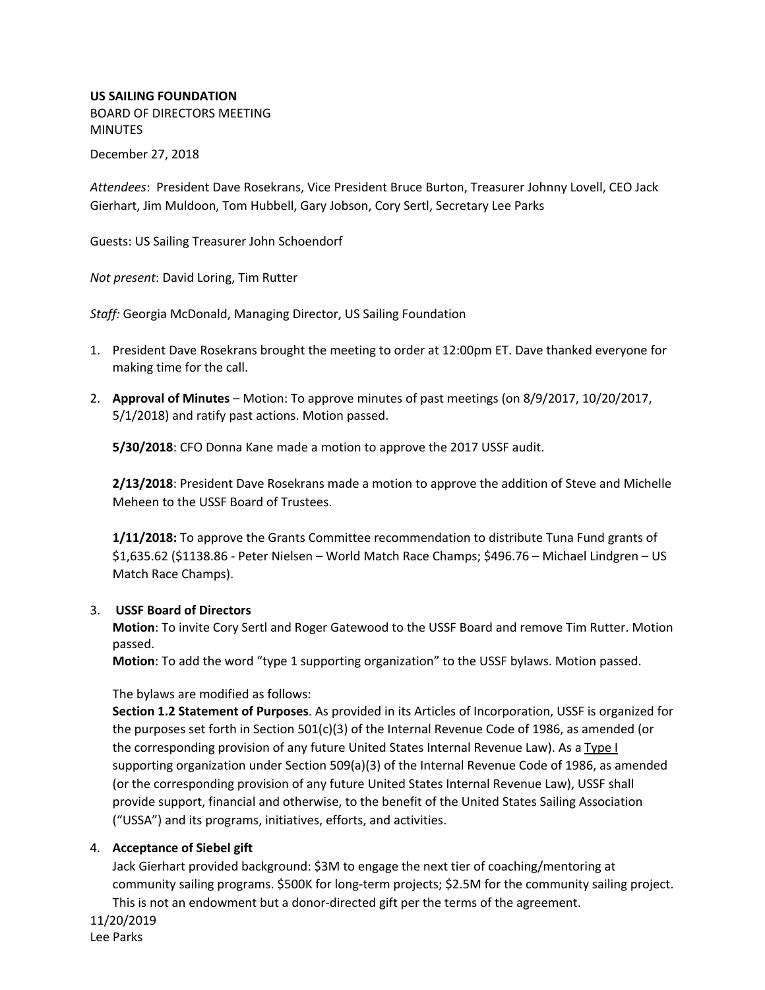# **US SAILING FOUNDATION**

BOARD OF DIRECTORS MEETING **MINUTES** 

December 27, 2018

*Attendees*: President Dave Rosekrans, Vice President Bruce Burton, Treasurer Johnny Lovell, CEO Jack Gierhart, Jim Muldoon, Tom Hubbell, Gary Jobson, Cory Sertl, Secretary Lee Parks

Guests: US Sailing Treasurer John Schoendorf

*Not present*: David Loring, Tim Rutter

*Staff:* Georgia McDonald, Managing Director, US Sailing Foundation

- 1. President Dave Rosekrans brought the meeting to order at 12:00pm ET. Dave thanked everyone for making time for the call.
- 2. **Approval of Minutes** Motion: To approve minutes of past meetings (on 8/9/2017, 10/20/2017, 5/1/2018) and ratify past actions. Motion passed.

**5/30/2018**: CFO Donna Kane made a motion to approve the 2017 USSF audit.

**2/13/2018**: President Dave Rosekrans made a motion to approve the addition of Steve and Michelle Meheen to the USSF Board of Trustees.

**1/11/2018:** To approve the Grants Committee recommendation to distribute Tuna Fund grants of \$1,635.62 (\$1138.86 - Peter Nielsen – World Match Race Champs; \$496.76 – Michael Lindgren – US Match Race Champs).

## 3. **USSF Board of Directors**

**Motion**: To invite Cory Sertl and Roger Gatewood to the USSF Board and remove Tim Rutter. Motion passed.

**Motion**: To add the word "type 1 supporting organization" to the USSF bylaws. Motion passed.

The bylaws are modified as follows:

**Section 1.2 Statement of Purposes**. As provided in its Articles of Incorporation, USSF is organized for the purposes set forth in Section 501(c)(3) of the Internal Revenue Code of 1986, as amended (or the corresponding provision of any future United States Internal Revenue Law). As a Type I supporting organization under Section 509(a)(3) of the Internal Revenue Code of 1986, as amended (or the corresponding provision of any future United States Internal Revenue Law), USSF shall provide support, financial and otherwise, to the benefit of the United States Sailing Association ("USSA") and its programs, initiatives, efforts, and activities.

#### 4. **Acceptance of Siebel gift**

Jack Gierhart provided background: \$3M to engage the next tier of coaching/mentoring at community sailing programs. \$500K for long-term projects; \$2.5M for the community sailing project. This is not an endowment but a donor-directed gift per the terms of the agreement.